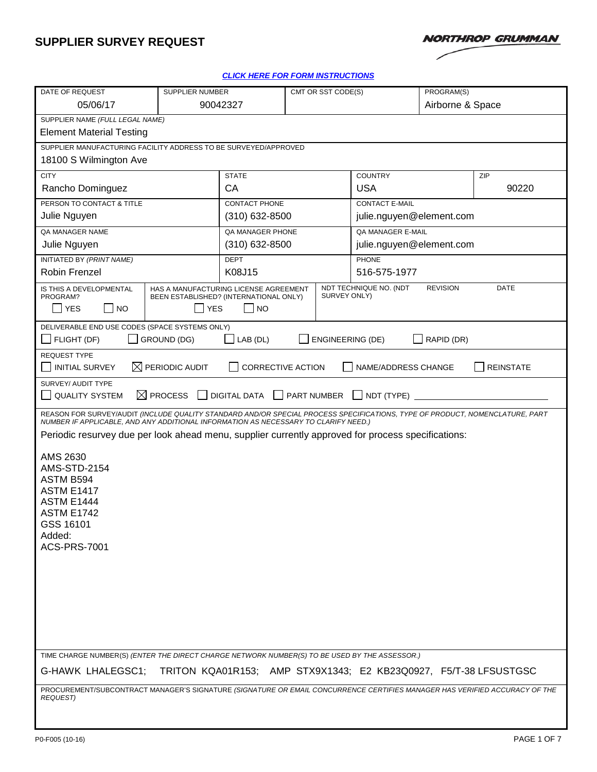

#### *[CLICK HERE FOR FORM INSTRUCTIONS](https://oursites.myngc.com/ENT/Process/AS/Templates/Form%20Instruction/P0-F005inst.doc?Web=1)*

| DATE OF REQUEST                                                                                                                                                                                                     |                                                                                               | SUPPLIER NUMBER            |                         | CMT OR SST CODE(S)       |                 | PROGRAM(S)       |  |
|---------------------------------------------------------------------------------------------------------------------------------------------------------------------------------------------------------------------|-----------------------------------------------------------------------------------------------|----------------------------|-------------------------|--------------------------|-----------------|------------------|--|
| 05/06/17                                                                                                                                                                                                            |                                                                                               | 90042327                   |                         | Airborne & Space         |                 |                  |  |
| SUPPLIER NAME (FULL LEGAL NAME)                                                                                                                                                                                     |                                                                                               |                            |                         |                          |                 |                  |  |
| <b>Element Material Testing</b>                                                                                                                                                                                     |                                                                                               |                            |                         |                          |                 |                  |  |
| SUPPLIER MANUFACTURING FACILITY ADDRESS TO BE SURVEYED/APPROVED                                                                                                                                                     |                                                                                               |                            |                         |                          |                 |                  |  |
| 18100 S Wilmington Ave                                                                                                                                                                                              |                                                                                               |                            |                         |                          |                 |                  |  |
| <b>CITY</b>                                                                                                                                                                                                         |                                                                                               | <b>STATE</b>               |                         | <b>COUNTRY</b>           |                 | ZIP              |  |
| Rancho Dominguez                                                                                                                                                                                                    |                                                                                               | CA                         |                         | <b>USA</b>               |                 | 90220            |  |
| PERSON TO CONTACT & TITLE                                                                                                                                                                                           |                                                                                               | CONTACT PHONE              |                         | <b>CONTACT E-MAIL</b>    |                 |                  |  |
| Julie Nguyen                                                                                                                                                                                                        |                                                                                               | $(310)$ 632-8500           |                         | julie.nguyen@element.com |                 |                  |  |
| QA MANAGER NAME                                                                                                                                                                                                     |                                                                                               | QA MANAGER PHONE           |                         | QA MANAGER E-MAIL        |                 |                  |  |
| Julie Nguyen                                                                                                                                                                                                        |                                                                                               | $(310)$ 632-8500           |                         | julie.nguyen@element.com |                 |                  |  |
| INITIATED BY (PRINT NAME)                                                                                                                                                                                           |                                                                                               | <b>DEPT</b>                |                         | PHONE                    |                 |                  |  |
| Robin Frenzel                                                                                                                                                                                                       |                                                                                               | K08J15                     |                         | 516-575-1977             |                 |                  |  |
| IS THIS A DEVELOPMENTAL<br>PROGRAM?<br><b>YES</b><br><b>NO</b>                                                                                                                                                      | HAS A MANUFACTURING LICENSE AGREEMENT<br>BEEN ESTABLISHED? (INTERNATIONAL ONLY)<br><b>YES</b> | <b>NO</b>                  | SURVEY ONLY)            | NDT TECHNIQUE NO. (NDT   | <b>REVISION</b> | DATE             |  |
|                                                                                                                                                                                                                     |                                                                                               |                            |                         |                          |                 |                  |  |
| DELIVERABLE END USE CODES (SPACE SYSTEMS ONLY)<br>FLIGHT (DF)                                                                                                                                                       | GROUND (DG)                                                                                   | LAB (DL)                   | <b>ENGINEERING (DE)</b> |                          | RAPID (DR)      |                  |  |
| <b>REQUEST TYPE</b>                                                                                                                                                                                                 |                                                                                               |                            |                         |                          |                 |                  |  |
| <b>INITIAL SURVEY</b>                                                                                                                                                                                               | $\boxtimes$ PERIODIC AUDIT                                                                    | <b>CORRECTIVE ACTION</b>   |                         | NAME/ADDRESS CHANGE      |                 | <b>REINSTATE</b> |  |
| SURVEY/ AUDIT TYPE                                                                                                                                                                                                  |                                                                                               |                            |                         |                          |                 |                  |  |
| <b>QUALITY SYSTEM</b>                                                                                                                                                                                               | $\boxtimes$ PROCESS                                                                           | DIGITAL DATA   PART NUMBER |                         | $\Box$ NDT (TYPE) $\Box$ |                 |                  |  |
| REASON FOR SURVEY/AUDIT (INCLUDE QUALITY STANDARD AND/OR SPECIAL PROCESS SPECIFICATIONS, TYPE OF PRODUCT, NOMENCLATURE, PART<br>NUMBER IF APPLICABLE, AND ANY ADDITIONAL INFORMATION AS NECESSARY TO CLARIFY NEED.) |                                                                                               |                            |                         |                          |                 |                  |  |
|                                                                                                                                                                                                                     |                                                                                               |                            |                         |                          |                 |                  |  |
| Periodic resurvey due per look ahead menu, supplier currently approved for process specifications:                                                                                                                  |                                                                                               |                            |                         |                          |                 |                  |  |
|                                                                                                                                                                                                                     | AMS 2630                                                                                      |                            |                         |                          |                 |                  |  |
| <b>AMS-STD-2154</b>                                                                                                                                                                                                 |                                                                                               |                            |                         |                          |                 |                  |  |
| ASTM B594<br><b>ASTM E1417</b>                                                                                                                                                                                      |                                                                                               |                            |                         |                          |                 |                  |  |
| <b>ASTM E1444</b>                                                                                                                                                                                                   |                                                                                               |                            |                         |                          |                 |                  |  |
| <b>ASTM E1742</b>                                                                                                                                                                                                   |                                                                                               |                            |                         |                          |                 |                  |  |
| GSS 16101                                                                                                                                                                                                           |                                                                                               |                            |                         |                          |                 |                  |  |
| Added:                                                                                                                                                                                                              |                                                                                               |                            |                         |                          |                 |                  |  |
| <b>ACS-PRS-7001</b>                                                                                                                                                                                                 |                                                                                               |                            |                         |                          |                 |                  |  |
|                                                                                                                                                                                                                     |                                                                                               |                            |                         |                          |                 |                  |  |
|                                                                                                                                                                                                                     |                                                                                               |                            |                         |                          |                 |                  |  |
|                                                                                                                                                                                                                     |                                                                                               |                            |                         |                          |                 |                  |  |
|                                                                                                                                                                                                                     |                                                                                               |                            |                         |                          |                 |                  |  |
|                                                                                                                                                                                                                     |                                                                                               |                            |                         |                          |                 |                  |  |
|                                                                                                                                                                                                                     |                                                                                               |                            |                         |                          |                 |                  |  |
|                                                                                                                                                                                                                     |                                                                                               |                            |                         |                          |                 |                  |  |
| TIME CHARGE NUMBER(S) (ENTER THE DIRECT CHARGE NETWORK NUMBER(S) TO BE USED BY THE ASSESSOR.)                                                                                                                       |                                                                                               |                            |                         |                          |                 |                  |  |
| TRITON KQA01R153; AMP STX9X1343; E2 KB23Q0927, F5/T-38 LFSUSTGSC<br>G-HAWK LHALEGSC1;                                                                                                                               |                                                                                               |                            |                         |                          |                 |                  |  |
| PROCUREMENT/SUBCONTRACT MANAGER'S SIGNATURE (SIGNATURE OR EMAIL CONCURRENCE CERTIFIES MANAGER HAS VERIFIED ACCURACY OF THE<br><b>REQUEST)</b>                                                                       |                                                                                               |                            |                         |                          |                 |                  |  |
|                                                                                                                                                                                                                     |                                                                                               |                            |                         |                          |                 |                  |  |
|                                                                                                                                                                                                                     |                                                                                               |                            |                         |                          |                 |                  |  |

 $\overline{\phantom{a}}$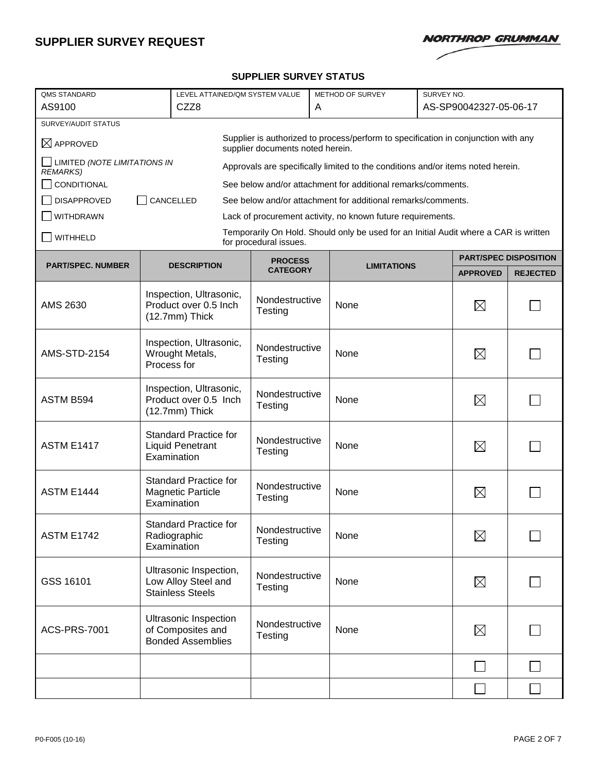

#### **SUPPLIER SURVEY STATUS**

| <b>QMS STANDARD</b>                                                                                                                            |             | LEVEL ATTAINED/QM SYSTEM VALUE                                                |                                   | METHOD OF SURVEY<br>SURVEY NO. |                                                                                      |  |                 |                              |
|------------------------------------------------------------------------------------------------------------------------------------------------|-------------|-------------------------------------------------------------------------------|-----------------------------------|--------------------------------|--------------------------------------------------------------------------------------|--|-----------------|------------------------------|
| AS9100<br>CZZ8                                                                                                                                 |             |                                                                               | A                                 |                                | AS-SP90042327-05-06-17                                                               |  |                 |                              |
| SURVEY/AUDIT STATUS                                                                                                                            |             |                                                                               |                                   |                                |                                                                                      |  |                 |                              |
| Supplier is authorized to process/perform to specification in conjunction with any<br>$\boxtimes$ APPROVED<br>supplier documents noted herein. |             |                                                                               |                                   |                                |                                                                                      |  |                 |                              |
| LIMITED (NOTE LIMITATIONS IN<br>Approvals are specifically limited to the conditions and/or items noted herein.<br><b>REMARKS)</b>             |             |                                                                               |                                   |                                |                                                                                      |  |                 |                              |
| CONDITIONAL<br>See below and/or attachment for additional remarks/comments.                                                                    |             |                                                                               |                                   |                                |                                                                                      |  |                 |                              |
| CANCELLED<br><b>DISAPPROVED</b><br>See below and/or attachment for additional remarks/comments.                                                |             |                                                                               |                                   |                                |                                                                                      |  |                 |                              |
| WITHDRAWN<br>Lack of procurement activity, no known future requirements.                                                                       |             |                                                                               |                                   |                                |                                                                                      |  |                 |                              |
| WITHHELD                                                                                                                                       |             |                                                                               | for procedural issues.            |                                | Temporarily On Hold. Should only be used for an Initial Audit where a CAR is written |  |                 |                              |
|                                                                                                                                                |             |                                                                               |                                   |                                |                                                                                      |  |                 | <b>PART/SPEC DISPOSITION</b> |
| <b>PART/SPEC. NUMBER</b>                                                                                                                       |             | <b>DESCRIPTION</b>                                                            | <b>PROCESS</b><br><b>CATEGORY</b> |                                | <b>LIMITATIONS</b>                                                                   |  | <b>APPROVED</b> | <b>REJECTED</b>              |
| AMS 2630                                                                                                                                       |             | Inspection, Ultrasonic,<br>Product over 0.5 Inch<br>(12.7mm) Thick            | Nondestructive<br>Testing         |                                | None                                                                                 |  | $\boxtimes$     |                              |
| <b>AMS-STD-2154</b>                                                                                                                            | Process for | Inspection, Ultrasonic,<br>Wrought Metals,                                    | Nondestructive<br>Testing         |                                | None                                                                                 |  | $\boxtimes$     |                              |
| ASTM B594                                                                                                                                      |             | Inspection, Ultrasonic,<br>Product over 0.5 Inch<br>(12.7mm) Thick            | Nondestructive<br>Testing         |                                | None                                                                                 |  | $\times$        |                              |
| <b>ASTM E1417</b>                                                                                                                              |             | <b>Standard Practice for</b><br><b>Liquid Penetrant</b><br>Examination        | Nondestructive<br>Testing         |                                | None                                                                                 |  | $\boxtimes$     |                              |
| <b>ASTM E1444</b>                                                                                                                              |             | <b>Standard Practice for</b><br><b>Magnetic Particle</b><br>Examination       | Nondestructive<br>Testing         |                                | None                                                                                 |  | $\boxtimes$     |                              |
| <b>ASTM E1742</b>                                                                                                                              |             | <b>Standard Practice for</b><br>Radiographic<br>Examination                   | Nondestructive<br>Testing         |                                | None                                                                                 |  | $\boxtimes$     |                              |
| GSS 16101                                                                                                                                      |             | Ultrasonic Inspection,<br>Low Alloy Steel and<br><b>Stainless Steels</b>      | Nondestructive<br>Testing         |                                | None                                                                                 |  | $\boxtimes$     |                              |
| <b>ACS-PRS-7001</b>                                                                                                                            |             | <b>Ultrasonic Inspection</b><br>of Composites and<br><b>Bonded Assemblies</b> | Nondestructive<br>Testing         |                                | None                                                                                 |  | $\boxtimes$     |                              |
|                                                                                                                                                |             |                                                                               |                                   |                                |                                                                                      |  |                 |                              |
|                                                                                                                                                |             |                                                                               |                                   |                                |                                                                                      |  | $\Box$          |                              |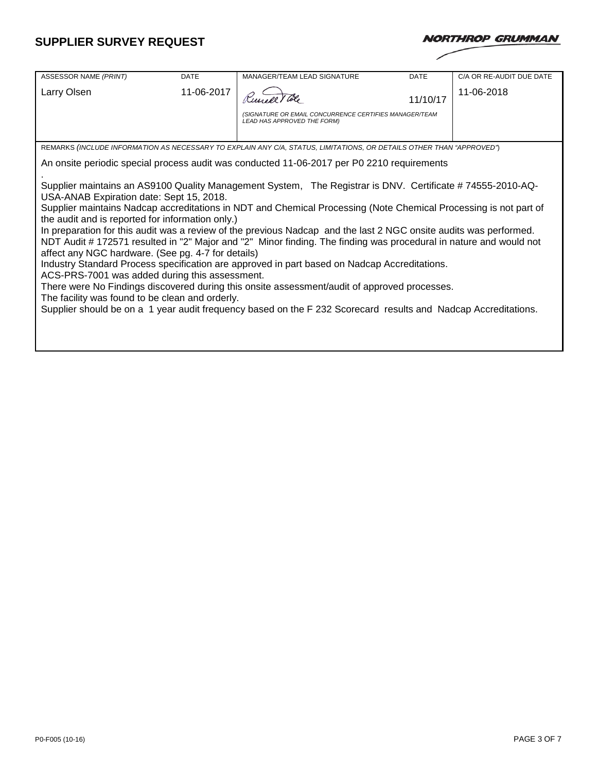| <b>NORTHROP GRUMMAN</b> |  |
|-------------------------|--|
|                         |  |

| ASSESSOR NAME (PRINT)                                                                                                                                                                                                                                                                                                                                                                                                                                                                                                                                                                                                                                                                                                                                                                                                                                                                                                                                                                                                                                                                                                                              | <b>DATE</b> | MANAGER/TEAM LEAD SIGNATURE                                                                       | <b>DATE</b> | C/A OR RE-AUDIT DUE DATE |  |  |  |  |
|----------------------------------------------------------------------------------------------------------------------------------------------------------------------------------------------------------------------------------------------------------------------------------------------------------------------------------------------------------------------------------------------------------------------------------------------------------------------------------------------------------------------------------------------------------------------------------------------------------------------------------------------------------------------------------------------------------------------------------------------------------------------------------------------------------------------------------------------------------------------------------------------------------------------------------------------------------------------------------------------------------------------------------------------------------------------------------------------------------------------------------------------------|-------------|---------------------------------------------------------------------------------------------------|-------------|--------------------------|--|--|--|--|
| Larry Olsen                                                                                                                                                                                                                                                                                                                                                                                                                                                                                                                                                                                                                                                                                                                                                                                                                                                                                                                                                                                                                                                                                                                                        | 11-06-2017  | 11/10/17<br>(SIGNATURE OR EMAIL CONCURRENCE CERTIFIES MANAGER/TEAM<br>LEAD HAS APPROVED THE FORM) |             | 11-06-2018               |  |  |  |  |
|                                                                                                                                                                                                                                                                                                                                                                                                                                                                                                                                                                                                                                                                                                                                                                                                                                                                                                                                                                                                                                                                                                                                                    |             |                                                                                                   |             |                          |  |  |  |  |
| REMARKS (INCLUDE INFORMATION AS NECESSARY TO EXPLAIN ANY C/A, STATUS, LIMITATIONS, OR DETAILS OTHER THAN "APPROVED")                                                                                                                                                                                                                                                                                                                                                                                                                                                                                                                                                                                                                                                                                                                                                                                                                                                                                                                                                                                                                               |             |                                                                                                   |             |                          |  |  |  |  |
|                                                                                                                                                                                                                                                                                                                                                                                                                                                                                                                                                                                                                                                                                                                                                                                                                                                                                                                                                                                                                                                                                                                                                    |             |                                                                                                   |             |                          |  |  |  |  |
| An onsite periodic special process audit was conducted 11-06-2017 per P0 2210 requirements<br>Supplier maintains an AS9100 Quality Management System, The Registrar is DNV. Certificate #74555-2010-AQ-<br>USA-ANAB Expiration date: Sept 15, 2018.<br>Supplier maintains Nadcap accreditations in NDT and Chemical Processing (Note Chemical Processing is not part of<br>the audit and is reported for information only.)<br>In preparation for this audit was a review of the previous Nadcap and the last 2 NGC onsite audits was performed.<br>NDT Audit #172571 resulted in "2" Major and "2" Minor finding. The finding was procedural in nature and would not<br>affect any NGC hardware. (See pg. 4-7 for details)<br>Industry Standard Process specification are approved in part based on Nadcap Accreditations.<br>ACS-PRS-7001 was added during this assessment.<br>There were No Findings discovered during this onsite assessment/audit of approved processes.<br>The facility was found to be clean and orderly.<br>Supplier should be on a 1 year audit frequency based on the F 232 Scorecard results and Nadcap Accreditations. |             |                                                                                                   |             |                          |  |  |  |  |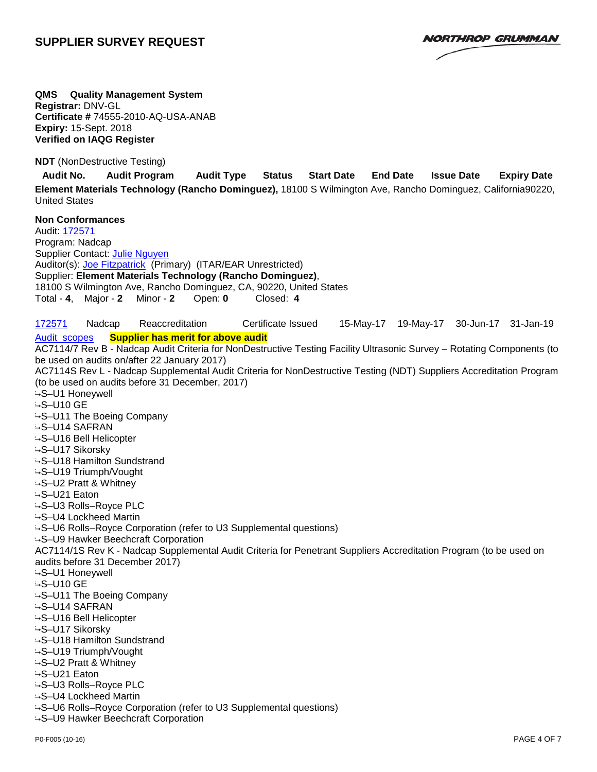**NORTHROP GRUMMAN** 

**QMS Quality Management System Registrar:** DNV-GL **Certificate #** 74555-2010-AQ-USA-ANAB **Expiry:** 15-Sept. 2018 **Verified on IAQG Register**

**NDT** (NonDestructive Testing)

**Audit No. Audit Program Audit Type Status Start Date End Date Issue Date Expiry Date Element Materials Technology (Rancho Dominguez),** 18100 S Wilmington Ave, Rancho Dominguez, California90220, United States

**Non Conformances** Audit: [172571](javascript:invokeUrl() Program: Nadcap Supplier Contact: [Julie Nguyen](javascript:invokeUrl() Auditor(s): [Joe Fitzpatrick](javascript:invokeUrl() (Primary) (ITAR/EAR Unrestricted) Supplier: **Element Materials Technology (Rancho Dominguez)**, 18100 S Wilmington Ave, Rancho Dominguez, CA, 90220, United States Total - **4**, Major - **2** Minor - **2** Open: **0** Closed: **4** [172571](javascript:invokeUrl() Nadcap Reaccreditation Certificate Issued 15-May-17 19-May-17 30-Jun-17 31-Jan-19 [Audit scopes](javascript:void(0)) **Supplier has merit for above audit** AC7114/7 Rev B - Nadcap Audit Criteria for NonDestructive Testing Facility Ultrasonic Survey – Rotating Components (to be used on audits on/after 22 January 2017) AC7114S Rev L - Nadcap Supplemental Audit Criteria for NonDestructive Testing (NDT) Suppliers Accreditation Program (to be used on audits before 31 December, 2017) S–U1 Honeywell  $-$ S-U10 GE S–U11 The Boeing Company **≒S–U14 SAFRAN** S–U16 Bell Helicopter S–U17 Sikorsky S–U18 Hamilton Sundstrand S–U19 Triumph/Vought S–U2 Pratt & Whitney S–U21 Eaton S–U3 Rolls–Royce PLC S–U4 Lockheed Martin S–U6 Rolls–Royce Corporation (refer to U3 Supplemental questions) S–U9 Hawker Beechcraft Corporation AC7114/1S Rev K - Nadcap Supplemental Audit Criteria for Penetrant Suppliers Accreditation Program (to be used on audits before 31 December 2017) S–U1 Honeywell  $-$ S-U10 GE S–U11 The Boeing Company S–U14 SAFRAN S–U16 Bell Helicopter S–U17 Sikorsky S–U18 Hamilton Sundstrand S–U19 Triumph/Vought S–U2 Pratt & Whitney S–U21 Eaton S–U3 Rolls–Royce PLC S–U4 Lockheed Martin

S–U9 Hawker Beechcraft Corporation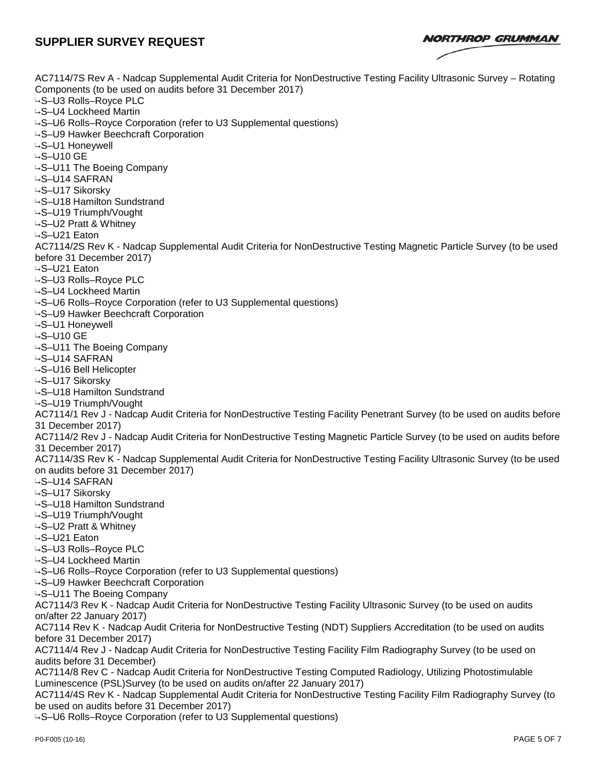**NORTHROP GRUMMAN** 

AC7114/7S Rev A - Nadcap Supplemental Audit Criteria for NonDestructive Testing Facility Ultrasonic Survey – Rotating Components (to be used on audits before 31 December 2017) S–U3 Rolls–Royce PLC S–U4 Lockheed Martin S–U6 Rolls–Royce Corporation (refer to U3 Supplemental questions) S–U9 Hawker Beechcraft Corporation S–U1 Honeywell S–U10 GE S–U11 The Boeing Company **≒S–U14 SAFRAN** S–U17 Sikorsky S–U18 Hamilton Sundstrand S–U19 Triumph/Vought S–U2 Pratt & Whitney S–U21 Eaton AC7114/2S Rev K - Nadcap Supplemental Audit Criteria for NonDestructive Testing Magnetic Particle Survey (to be used before 31 December 2017) S–U21 Eaton S–U3 Rolls–Royce PLC S–U4 Lockheed Martin S–U6 Rolls–Royce Corporation (refer to U3 Supplemental questions) S–U9 Hawker Beechcraft Corporation S–U1 Honeywell S–U10 GE S–U11 The Boeing Company **GS–U14 SAFRAN** S–U16 Bell Helicopter S–U17 Sikorsky S–U18 Hamilton Sundstrand S–U19 Triumph/Vought AC7114/1 Rev J - Nadcap Audit Criteria for NonDestructive Testing Facility Penetrant Survey (to be used on audits before 31 December 2017) AC7114/2 Rev J - Nadcap Audit Criteria for NonDestructive Testing Magnetic Particle Survey (to be used on audits before 31 December 2017) AC7114/3S Rev K - Nadcap Supplemental Audit Criteria for NonDestructive Testing Facility Ultrasonic Survey (to be used on audits before 31 December 2017) S–U14 SAFRAN S–U17 Sikorsky S–U18 Hamilton Sundstrand S–U19 Triumph/Vought S–U2 Pratt & Whitney S–U21 Eaton S–U3 Rolls–Royce PLC S–U4 Lockheed Martin S–U6 Rolls–Royce Corporation (refer to U3 Supplemental questions) S–U9 Hawker Beechcraft Corporation S–U11 The Boeing Company AC7114/3 Rev K - Nadcap Audit Criteria for NonDestructive Testing Facility Ultrasonic Survey (to be used on audits on/after 22 January 2017) AC7114 Rev K - Nadcap Audit Criteria for NonDestructive Testing (NDT) Suppliers Accreditation (to be used on audits before 31 December 2017) AC7114/4 Rev J - Nadcap Audit Criteria for NonDestructive Testing Facility Film Radiography Survey (to be used on audits before 31 December) AC7114/8 Rev C - Nadcap Audit Criteria for NonDestructive Testing Computed Radiology, Utilizing Photostimulable Luminescence (PSL)Survey (to be used on audits on/after 22 January 2017) AC7114/4S Rev K - Nadcap Supplemental Audit Criteria for NonDestructive Testing Facility Film Radiography Survey (to be used on audits before 31 December 2017)

S–U6 Rolls–Royce Corporation (refer to U3 Supplemental questions)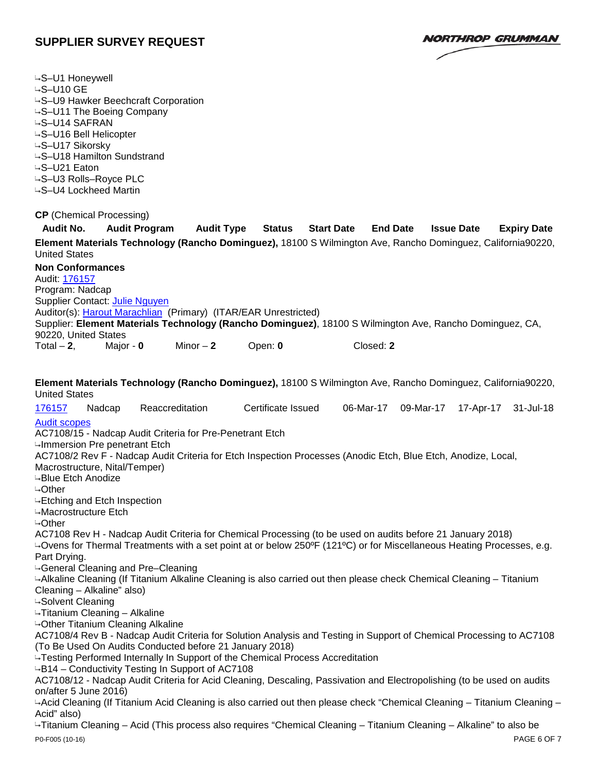**NORTHROP GRUMMAN** 

| -S-U1 Honeywell<br>$-$ S-U10 GE<br>-S-U9 Hawker Beechcraft Corporation<br>→S-U11 The Boeing Company<br>-S-U14 SAFRAN<br>-S-U16 Bell Helicopter<br>-S-U17 Sikorsky<br>-S-U18 Hamilton Sundstrand<br>-S-U21 Eaton<br>-S-U3 Rolls-Royce PLC<br>-S-U4 Lockheed Martin                                                                                                                         |                      |                   |                    |                   |                 |                   |                    |
|-------------------------------------------------------------------------------------------------------------------------------------------------------------------------------------------------------------------------------------------------------------------------------------------------------------------------------------------------------------------------------------------|----------------------|-------------------|--------------------|-------------------|-----------------|-------------------|--------------------|
| <b>CP</b> (Chemical Processing)                                                                                                                                                                                                                                                                                                                                                           |                      |                   |                    |                   |                 |                   |                    |
| <b>Audit No.</b>                                                                                                                                                                                                                                                                                                                                                                          | <b>Audit Program</b> | <b>Audit Type</b> | <b>Status</b>      | <b>Start Date</b> | <b>End Date</b> | <b>Issue Date</b> | <b>Expiry Date</b> |
| Element Materials Technology (Rancho Dominguez), 18100 S Wilmington Ave, Rancho Dominguez, California90220,<br><b>United States</b>                                                                                                                                                                                                                                                       |                      |                   |                    |                   |                 |                   |                    |
| <b>Non Conformances</b>                                                                                                                                                                                                                                                                                                                                                                   |                      |                   |                    |                   |                 |                   |                    |
| Audit: 176157                                                                                                                                                                                                                                                                                                                                                                             |                      |                   |                    |                   |                 |                   |                    |
| Program: Nadcap<br>Supplier Contact: Julie Nguyen                                                                                                                                                                                                                                                                                                                                         |                      |                   |                    |                   |                 |                   |                    |
| Auditor(s): Harout Marachlian (Primary) (ITAR/EAR Unrestricted)                                                                                                                                                                                                                                                                                                                           |                      |                   |                    |                   |                 |                   |                    |
| Supplier: Element Materials Technology (Rancho Dominguez), 18100 S Wilmington Ave, Rancho Dominguez, CA,                                                                                                                                                                                                                                                                                  |                      |                   |                    |                   |                 |                   |                    |
| 90220, United States<br>Total $-2$ ,                                                                                                                                                                                                                                                                                                                                                      | Major - 0            | Minor $-2$        | Open: 0            | Closed: 2         |                 |                   |                    |
|                                                                                                                                                                                                                                                                                                                                                                                           |                      |                   |                    |                   |                 |                   |                    |
| Element Materials Technology (Rancho Dominguez), 18100 S Wilmington Ave, Rancho Dominguez, California90220,<br><b>United States</b>                                                                                                                                                                                                                                                       |                      |                   |                    |                   |                 |                   |                    |
| 176157<br>Nadcap                                                                                                                                                                                                                                                                                                                                                                          |                      | Reaccreditation   | Certificate Issued | 06-Mar-17         | 09-Mar-17       | 17-Apr-17         | 31-Jul-18          |
| <b>Audit scopes</b><br>AC7108/15 - Nadcap Audit Criteria for Pre-Penetrant Etch<br>-Immersion Pre penetrant Etch<br>AC7108/2 Rev F - Nadcap Audit Criteria for Etch Inspection Processes (Anodic Etch, Blue Etch, Anodize, Local,<br>Macrostructure, Nital/Temper)<br><b>-Blue Etch Anodize</b><br>$\rightarrow$ Other<br>← Etching and Etch Inspection<br>⊶Macrostructure Etch<br>⊶Other |                      |                   |                    |                   |                 |                   |                    |
| AC7108 Rev H - Nadcap Audit Criteria for Chemical Processing (to be used on audits before 21 January 2018)                                                                                                                                                                                                                                                                                |                      |                   |                    |                   |                 |                   |                    |
| 40 Ovens for Thermal Treatments with a set point at or below 250°F (121°C) or for Miscellaneous Heating Processes, e.g.<br>Part Drying.                                                                                                                                                                                                                                                   |                      |                   |                    |                   |                 |                   |                    |
| -General Cleaning and Pre-Cleaning                                                                                                                                                                                                                                                                                                                                                        |                      |                   |                    |                   |                 |                   |                    |
| Alkaline Cleaning (If Titanium Alkaline Cleaning is also carried out then please check Chemical Cleaning – Titanium<br>Cleaning - Alkaline" also)                                                                                                                                                                                                                                         |                      |                   |                    |                   |                 |                   |                    |
| <b>4-Solvent Cleaning</b>                                                                                                                                                                                                                                                                                                                                                                 |                      |                   |                    |                   |                 |                   |                    |
| -Titanium Cleaning - Alkaline                                                                                                                                                                                                                                                                                                                                                             |                      |                   |                    |                   |                 |                   |                    |
| <b>4-Other Titanium Cleaning Alkaline</b><br>AC7108/4 Rev B - Nadcap Audit Criteria for Solution Analysis and Testing in Support of Chemical Processing to AC7108<br>(To Be Used On Audits Conducted before 21 January 2018)<br>-Testing Performed Internally In Support of the Chemical Process Accreditation<br>-B14 – Conductivity Testing In Support of AC7108                        |                      |                   |                    |                   |                 |                   |                    |
| AC7108/12 - Nadcap Audit Criteria for Acid Cleaning, Descaling, Passivation and Electropolishing (to be used on audits<br>on/after 5 June 2016)<br>-Acid Cleaning (If Titanium Acid Cleaning is also carried out then please check "Chemical Cleaning – Titanium Cleaning –                                                                                                               |                      |                   |                    |                   |                 |                   |                    |
| Acid" also)                                                                                                                                                                                                                                                                                                                                                                               |                      |                   |                    |                   |                 |                   |                    |
| -Titanium Cleaning – Acid (This process also requires "Chemical Cleaning – Titanium Cleaning – Alkaline" to also be<br>P0-F005 (10-16)                                                                                                                                                                                                                                                    |                      |                   |                    |                   |                 |                   | PAGE 6 OF 7        |